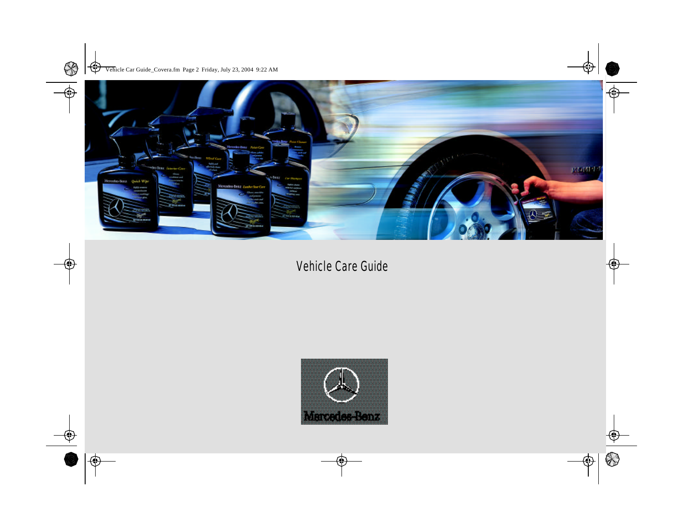

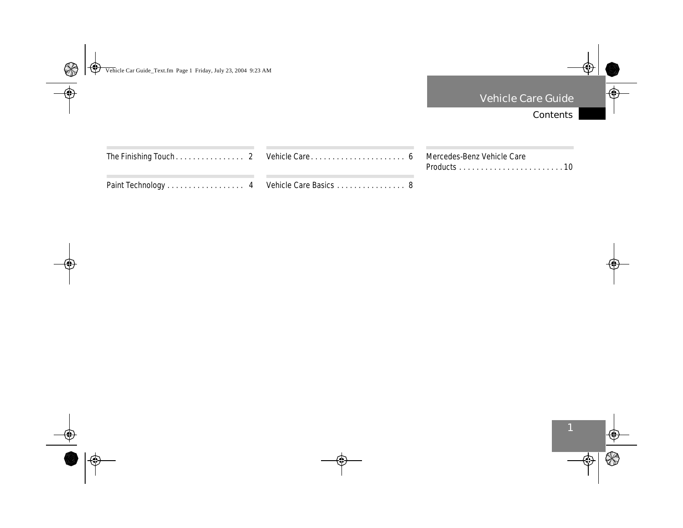# Contents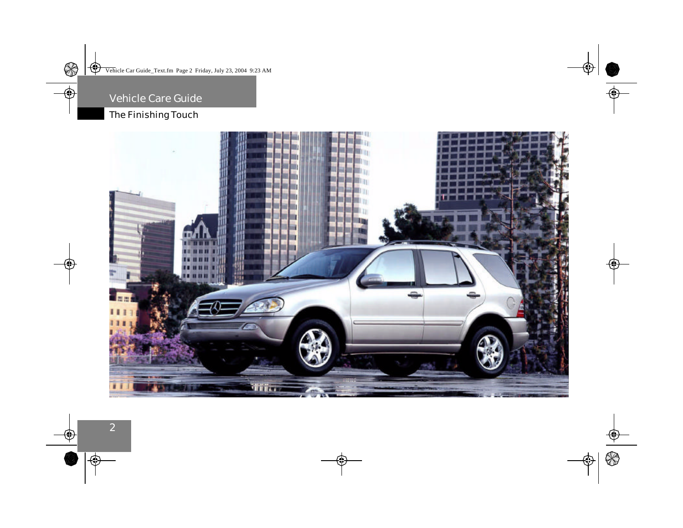# The Finishing Touch

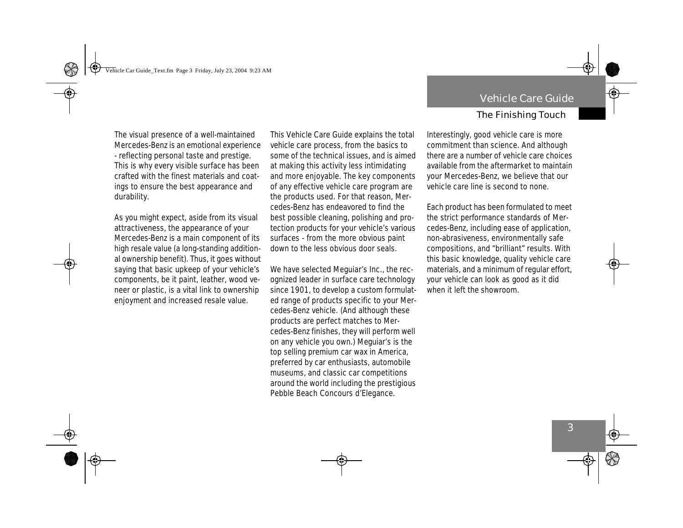The visual presence of a well-maintained Mercedes-Benz is an emotional experience - reflecting personal taste and prestige. This is why every visible surface has been crafted with the finest materials and coatings to ensure the best appearance and durability.

As you might expect, aside from its visual attractiveness, the appearance of your Mercedes-Benz is a main component of its high resale value (a long-standing additional ownership benefit). Thus, it goes without saying that basic upkeep of your vehicle's components, be it paint, leather, wood veneer or plastic, is a vital link to ownership enjoyment and increased resale value.

This Vehicle Care Guide explains the total vehicle care process, from the basics to some of the technical issues, and is aimed at making this activity less intimidating and more enjoyable. The key components of any effective vehicle care program are the products used. For that reason, Mercedes-Benz has endeavored to find the best possible cleaning, polishing and protection products for your vehicle's various surfaces - from the more obvious paint down to the less obvious door seals.

We have selected Meguiar's Inc., the recognized leader in surface care technology since 1901, to develop a custom formulated range of products specific to your Mercedes-Benz vehicle. (And although these products are perfect matches to Mercedes-Benz finishes, they will perform well on any vehicle you own.) Meguiar's is the top selling premium car wax in America, preferred by car enthusiasts, automobile museums, and classic car competitions around the world including the prestigious Pebble Beach Concours d'Elegance.

### The Finishing Touch

Interestingly, good vehicle care is more commitment than science. And although there are a number of vehicle care choices available from the aftermarket to maintain your Mercedes-Benz, we believe that our vehicle care line is second to none.

Each product has been formulated to meet the strict performance standards of Mercedes-Benz, including ease of application, non-abrasiveness, environmentally safe compositions, and "brilliant" results. With this basic knowledge, quality vehicle care materials, and a minimum of regular effort, your vehicle can look as good as it did when it left the showroom.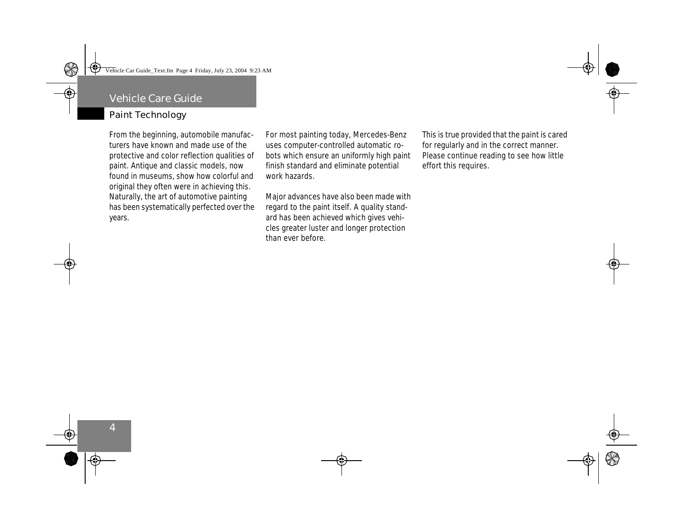### Paint Technology

From the beginning, automobile manufacturers have known and made use of the protective and color reflection qualities of paint. Antique and classic models, now found in museums, show how colorful and original they often were in achieving this. Naturally, the art of automotive painting has been systematically perfected over the years.

For most painting today, Mercedes-Benz uses computer-controlled automatic robots which ensure an uniformly high paint finish standard and eliminate potential work hazards.

Major advances have also been made with regard to the paint itself. A quality standard has been achieved which gives vehicles greater luster and longer protection than ever before.

This is true provided that the paint is cared for regularly and in the correct manner. Please continue reading to see how little effort this requires.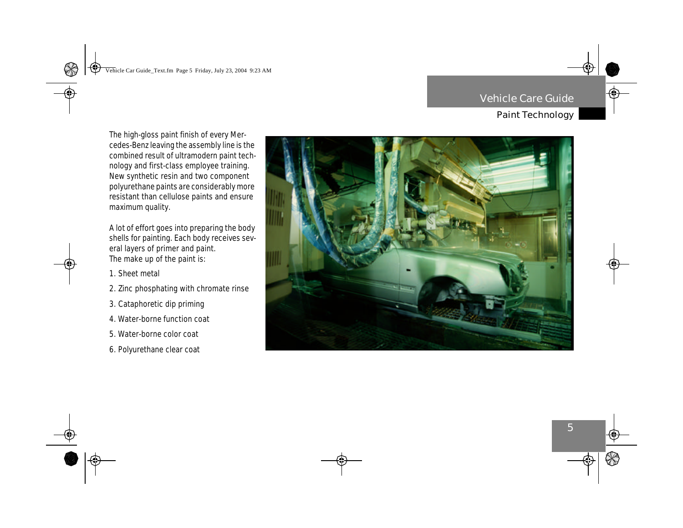# Paint Technology

The high-gloss paint finish of every Mercedes-Benz leaving the assembly line is the combined result of ultramodern paint technology and first-class employee training. New synthetic resin and two component polyurethane paints are considerably more resistant than cellulose paints and ensure maximum quality.

A lot of effort goes into preparing the body shells for painting. Each body receives several layers of primer and paint. The make up of the paint is:

- 1. Sheet metal
- 2. Zinc phosphating with chromate rinse
- 3. Cataphoretic dip priming
- 4. Water-borne function coat
- 5. Water-borne color coat
- 6. Polyurethane clear coat

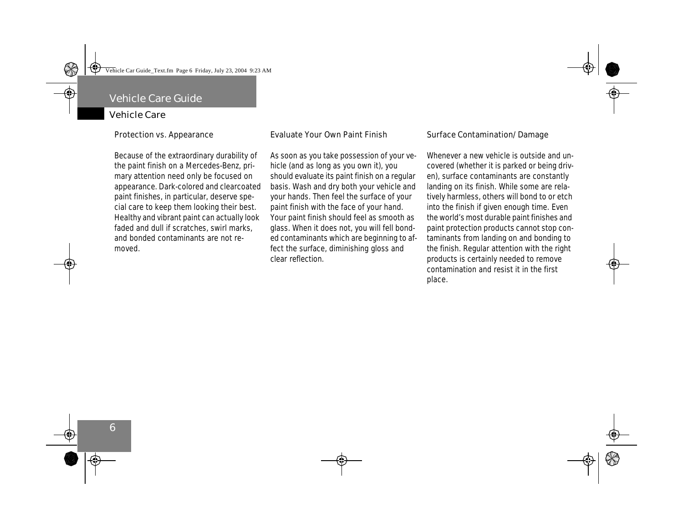#### Vehicle Care

**Protection vs. Appearance**

Because of the extraordinary durability of the paint finish on a Mercedes-Benz, primary attention need only be focused on appearance. Dark-colored and clearcoated paint finishes, in particular, deserve special care to keep them looking their best. Healthy and vibrant paint can actually look faded and dull if scratches, swirl marks, and bonded contaminants are not removed.

#### **Evaluate Your Own Paint Finish**

As soon as you take possession of your vehicle (and as long as you own it), you should evaluate its paint finish on a regular basis. Wash and dry both your vehicle and your hands. Then feel the surface of your paint finish with the face of your hand. Your paint finish should feel as smooth as glass. When it does not, you will fell bonded contaminants which are beginning to affect the surface, diminishing gloss and clear reflection.

#### **Surface Contamination/Damage**

Whenever a new vehicle is outside and uncovered (whether it is parked or being driven), surface contaminants are constantly landing on its finish. While some are relatively harmless, others will bond to or etch into the finish if given enough time. Even the world's most durable paint finishes and paint protection products cannot stop contaminants from landing on and bonding to the finish. Regular attention with the right products is certainly needed to remove contamination and resist it in the first place.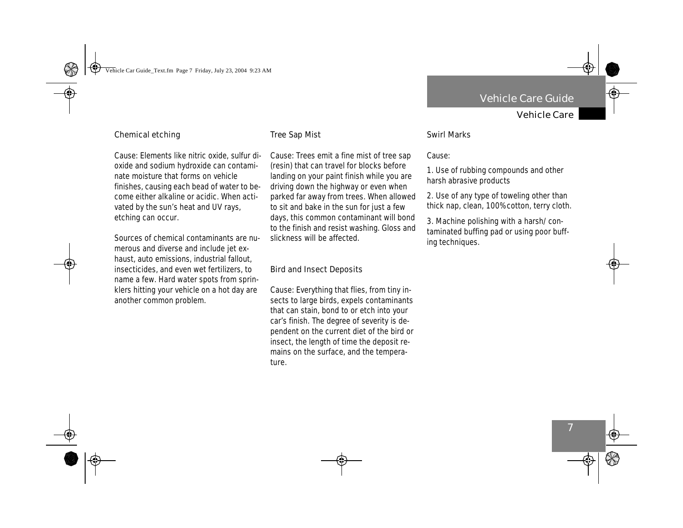Vehicle Care

#### **Chemical etching**

Cause: Elements like nitric oxide, sulfur dioxide and sodium hydroxide can contaminate moisture that forms on vehicle finishes, causing each bead of water to become either alkaline or acidic. When activated by the sun's heat and UV rays, etching can occur.

Sources of chemical contaminants are numerous and diverse and include jet exhaust, auto emissions, industrial fallout, insecticides, and even wet fertilizers, to name a few. Hard water spots from sprinklers hitting your vehicle on a hot day are another common problem.

#### **Tree Sap Mist**

Cause: Trees emit a fine mist of tree sap (resin) that can travel for blocks before landing on your paint finish while you are driving down the highway or even when parked far away from trees. When allowed to sit and bake in the sun for just a few days, this common contaminant will bond to the finish and resist washing. Gloss and slickness will be affected.

#### **Bird and Insect Deposits**

Cause: Everything that flies, from tiny insects to large birds, expels contaminants that can stain, bond to or etch into your car's finish. The degree of severity is dependent on the current diet of the bird or insect, the length of time the deposit remains on the surface, and the temperature.

#### **Swirl Marks**

#### Cause:

1. Use of rubbing compounds and other harsh abrasive products

2. Use of any type of toweling other than thick nap, clean, 100% cotton, terry cloth.

3. Machine polishing with a harsh/contaminated buffing pad or using poor buffing techniques.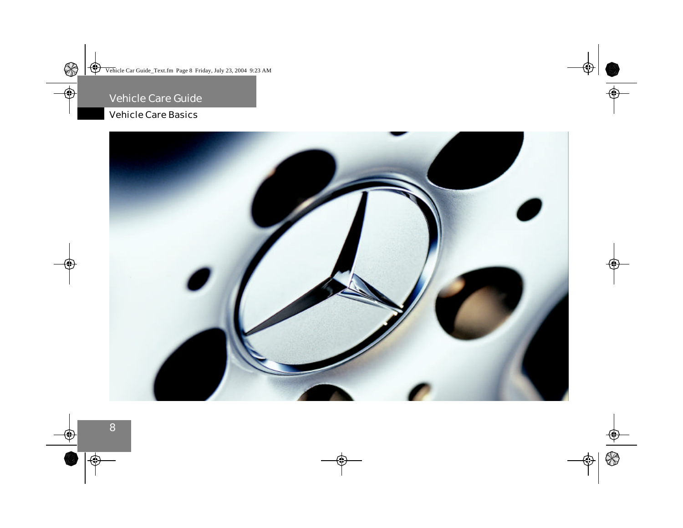# Vehicle Care Basics

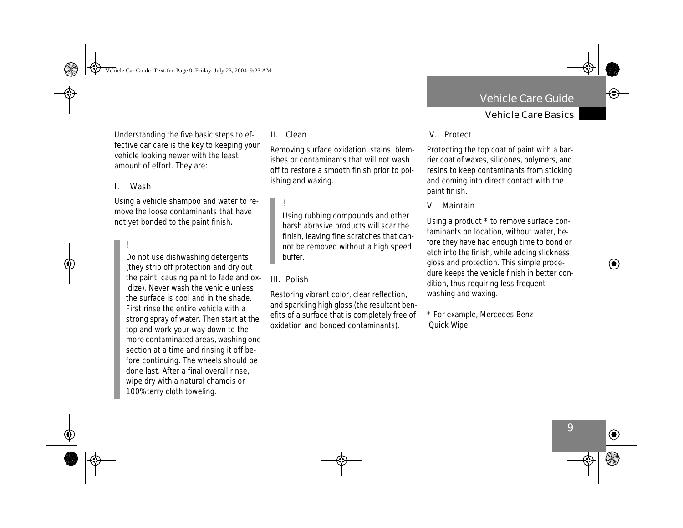### Vehicle Care Basics

Understanding the five basic steps to effective car care is the key to keeping your vehicle looking newer with the least amount of effort. They are:

#### **I. Wash**

Using a vehicle shampoo and water to remove the loose contaminants that have not yet bonded to the paint finish.

!

Do not use dishwashing detergents (they strip off protection and dry out the paint, causing paint to fade and oxidize). Never wash the vehicle unless the surface is cool and in the shade. First rinse the entire vehicle with a strong spray of water. Then start at the top and work your way down to the more contaminated areas, washing one section at a time and rinsing it off before continuing. The wheels should be done last. After a final overall rinse, wipe dry with a natural chamois or 100% terry cloth toweling.

#### **II. Clean**

Removing surface oxidation, stains, blemishes or contaminants that will not wash off to restore a smooth finish prior to polishing and waxing.

!

Using rubbing compounds and other harsh abrasive products will scar the finish, leaving fine scratches that cannot be removed without a high speed buffer.

#### **III. Polish**

Restoring vibrant color, clear reflection, and sparkling high gloss (the resultant benefits of a surface that is completely free of oxidation and bonded contaminants).

### **IV. Protect**

Protecting the top coat of paint with a barrier coat of waxes, silicones, polymers, and resins to keep contaminants from sticking and coming into direct contact with the paint finish.

**V. Maintain**

Using a product \* to remove surface contaminants on location, without water, before they have had enough time to bond or etch into the finish, while adding slickness, gloss and protection. This simple procedure keeps the vehicle finish in better condition, thus requiring less frequent washing and waxing.

\* For example, Mercedes-Benz Quick Wipe.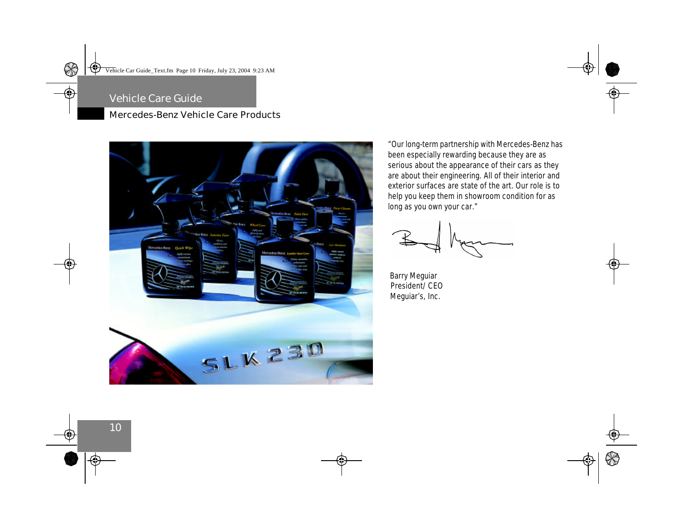# Mercedes-Benz Vehicle Care Products



*"Our long-term partnership with Mercedes-Benz has been especially rewarding because they are as serious about the appearance of their cars as they are about their engineering. All of their interior and exterior surfaces are state of the art. Our role is to help you keep them in showroom condition for as long as you own your car."*



*Barry Meguiar President/CEO Meguiar's, Inc.*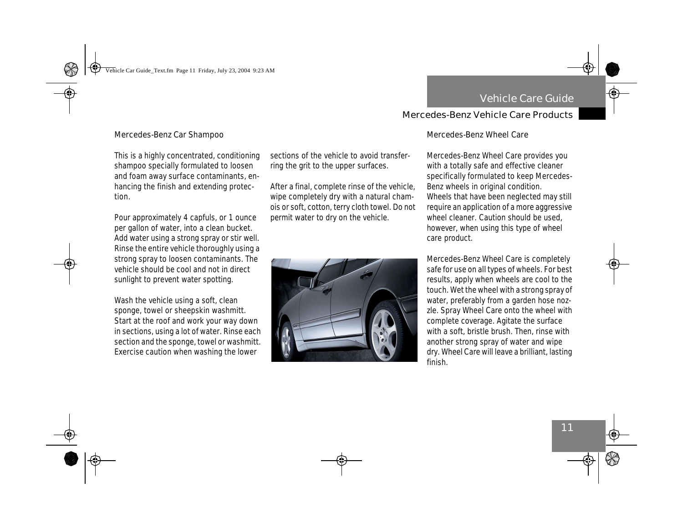#### **Mercedes-Benz Car Shampoo**

This is a highly concentrated, conditioning shampoo specially formulated to loosen and foam away surface contaminants, enhancing the finish and extending protection.

Pour approximately 4 capfuls, or 1 ounce per gallon of water, into a clean bucket. Add water using a strong spray or stir well. Rinse the entire vehicle thoroughly using a strong spray to loosen contaminants. The vehicle should be cool and not in direct sunlight to prevent water spotting.

Wash the vehicle using a soft, clean sponge, towel or sheepskin washmitt. Start at the roof and work your way down in sections, using a lot of water. Rinse each section and the sponge, towel or washmitt. Exercise caution when washing the lower

sections of the vehicle to avoid transferring the grit to the upper surfaces.

After a final, complete rinse of the vehicle, wipe completely dry with a natural chamois or soft, cotton, terry cloth towel. Do not permit water to dry on the vehicle.



#### **Mercedes-Benz Wheel Care**

Mercedes-Benz Wheel Care provides you with a totally safe and effective cleaner specifically formulated to keep Mercedes-Benz wheels in original condition. Wheels that have been neglected may still require an application of a more aggressive wheel cleaner. Caution should be used, however, when using this type of wheel care product.

Mercedes-Benz Wheel Care is completely safe for use on all types of wheels. For best results, apply when wheels are cool to the touch. Wet the wheel with a strong spray of water, preferably from a garden hose nozzle. Spray Wheel Care onto the wheel with complete coverage. Agitate the surface with a soft, bristle brush. Then, rinse with another strong spray of water and wipe dry. Wheel Care will leave a brilliant, lasting finish.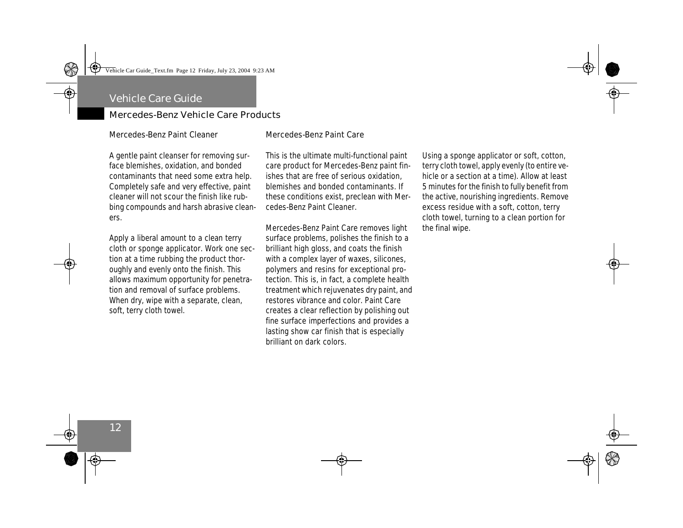#### **Mercedes-Benz Paint Cleaner**

A gentle paint cleanser for removing surface blemishes, oxidation, and bonded contaminants that need some extra help. Completely safe and very effective, paint cleaner will not scour the finish like rubbing compounds and harsh abrasive cleaners.

Apply a liberal amount to a clean terry cloth or sponge applicator. Work one section at a time rubbing the product thoroughly and evenly onto the finish. This allows maximum opportunity for penetration and removal of surface problems. When dry, wipe with a separate, clean, soft, terry cloth towel.

#### **Mercedes-Benz Paint Care**

This is the ultimate multi-functional paint care product for Mercedes-Benz paint finishes that are free of serious oxidation, blemishes and bonded contaminants. If these conditions exist, preclean with Mercedes-Benz Paint Cleaner.

Mercedes-Benz Paint Care removes light surface problems, polishes the finish to a brilliant high gloss, and coats the finish with a complex layer of waxes, silicones, polymers and resins for exceptional protection. This is, in fact, a complete health treatment which rejuvenates dry paint, and restores vibrance and color. Paint Care creates a clear reflection by polishing out fine surface imperfections and provides a lasting show car finish that is especially brilliant on dark colors.

Using a sponge applicator or soft, cotton, terry cloth towel, apply evenly (to entire vehicle or a section at a time). Allow at least 5 minutes for the finish to fully benefit from the active, nourishing ingredients. Remove excess residue with a soft, cotton, terry cloth towel, turning to a clean portion for the final wipe.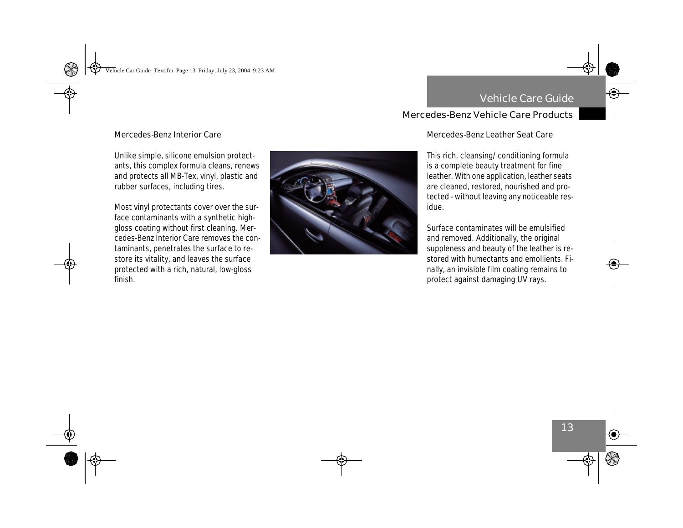#### **Mercedes-Benz Interior Care**

Unlike simple, silicone emulsion protectants, this complex formula cleans, renews and protects all MB-Tex, vinyl, plastic and rubber surfaces, including tires.

Most vinyl protectants cover over the surface contaminants with a synthetic highgloss coating without first cleaning. Mercedes-Benz Interior Care removes the contaminants, penetrates the surface to restore its vitality, and leaves the surface protected with a rich, natural, low-gloss finish.



#### **Mercedes-Benz Leather Seat Care**

This rich, cleansing/conditioning formula is a complete beauty treatment for fine leather. With one application, leather seats are cleaned, restored, nourished and protected - without leaving any noticeable residue.

Surface contaminates will be emulsified and removed. Additionally, the original suppleness and beauty of the leather is restored with humectants and emollients. Finally, an invisible film coating remains to protect against damaging UV rays.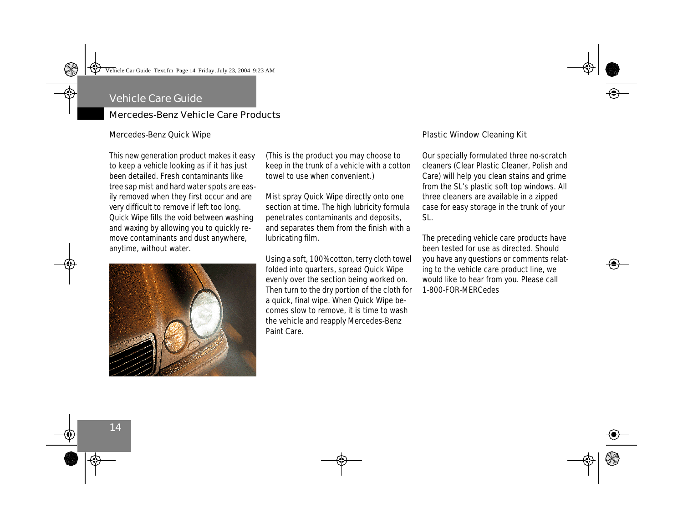#### **Mercedes-Benz Quick Wipe**

This new generation product makes it easy to keep a vehicle looking as if it has just been detailed. Fresh contaminants like tree sap mist and hard water spots are easily removed when they first occur and are very difficult to remove if left too long. Quick Wipe fills the void between washing and waxing by allowing you to quickly remove contaminants and dust anywhere, anytime, without water.



(This is the product you may choose to keep in the trunk of a vehicle with a cotton towel to use when convenient.)

Mist spray Quick Wipe directly onto one section at time. The high lubricity formula penetrates contaminants and deposits, and separates them from the finish with a lubricating film.

Using a soft, 100% cotton, terry cloth towel folded into quarters, spread Quick Wipe evenly over the section being worked on. Then turn to the dry portion of the cloth for a quick, final wipe. When Quick Wipe becomes slow to remove, it is time to wash the vehicle and reapply Mercedes-Benz Paint Care.

#### **Plastic Window Cleaning Kit**

Our specially formulated three no-scratch cleaners (Clear Plastic Cleaner, Polish and Care) will help you clean stains and grime from the SL's plastic soft top windows. All three cleaners are available in a zipped case for easy storage in the trunk of your SL.

The preceding vehicle care products have been tested for use as directed. Should you have any questions or comments relating to the vehicle care product line, we would like to hear from you. Please call 1-800-FOR-MERCedes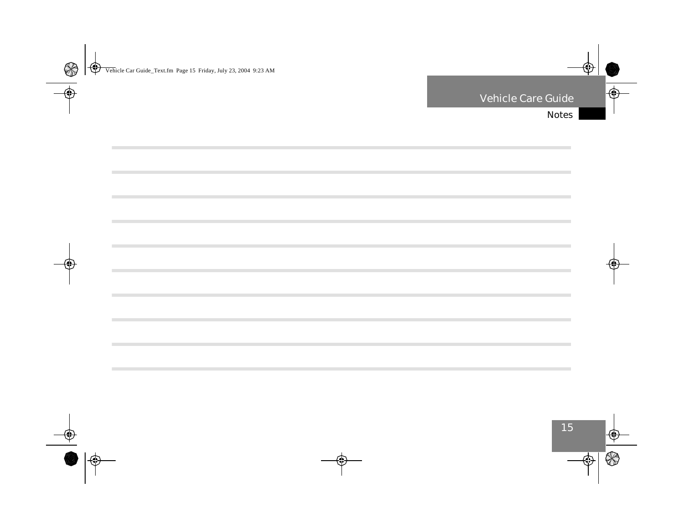$\mathcal{L}$ 

**College** 

**COL** 

 $\sim$ 

**COL** 

 $\sim$ 

**COL** 

**COL**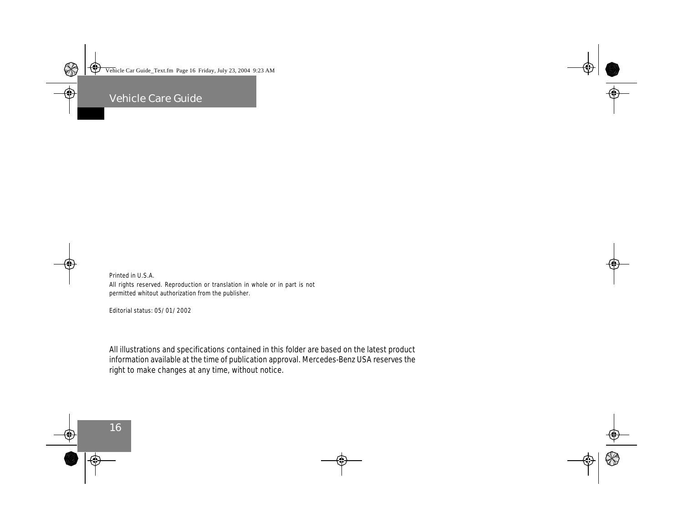Printed in U.S.A. All rights reserved. Reproduction or translation in whole or in part is not permitted whitout authorization from the publisher.

Editorial status: 05/01/2002

All illustrations and specifications contained in this folder are based on the latest product information available at the time of publication approval. Mercedes-Benz USA reserves the right to make changes at any time, without notice.